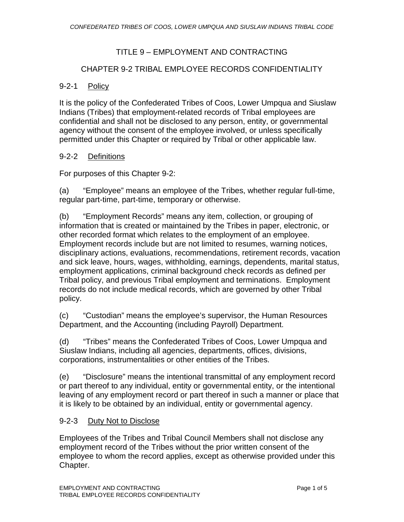# TITLE 9 – EMPLOYMENT AND CONTRACTING

# CHAPTER 9-2 TRIBAL EMPLOYEE RECORDS CONFIDENTIALITY

## 9-2-1 Policy

It is the policy of the Confederated Tribes of Coos, Lower Umpqua and Siuslaw Indians (Tribes) that employment-related records of Tribal employees are confidential and shall not be disclosed to any person, entity, or governmental agency without the consent of the employee involved, or unless specifically permitted under this Chapter or required by Tribal or other applicable law.

## 9-2-2 Definitions

For purposes of this Chapter 9-2:

(a) "Employee" means an employee of the Tribes, whether regular full-time, regular part-time, part-time, temporary or otherwise.

(b) "Employment Records" means any item, collection, or grouping of information that is created or maintained by the Tribes in paper, electronic, or other recorded format which relates to the employment of an employee. Employment records include but are not limited to resumes, warning notices, disciplinary actions, evaluations, recommendations, retirement records, vacation and sick leave, hours, wages, withholding, earnings, dependents, marital status, employment applications, criminal background check records as defined per Tribal policy, and previous Tribal employment and terminations. Employment records do not include medical records, which are governed by other Tribal policy.

(c) "Custodian" means the employee's supervisor, the Human Resources Department, and the Accounting (including Payroll) Department.

(d) "Tribes" means the Confederated Tribes of Coos, Lower Umpqua and Siuslaw Indians, including all agencies, departments, offices, divisions, corporations, instrumentalities or other entities of the Tribes.

(e) "Disclosure" means the intentional transmittal of any employment record or part thereof to any individual, entity or governmental entity, or the intentional leaving of any employment record or part thereof in such a manner or place that it is likely to be obtained by an individual, entity or governmental agency.

## 9-2-3 Duty Not to Disclose

Employees of the Tribes and Tribal Council Members shall not disclose any employment record of the Tribes without the prior written consent of the employee to whom the record applies, except as otherwise provided under this Chapter.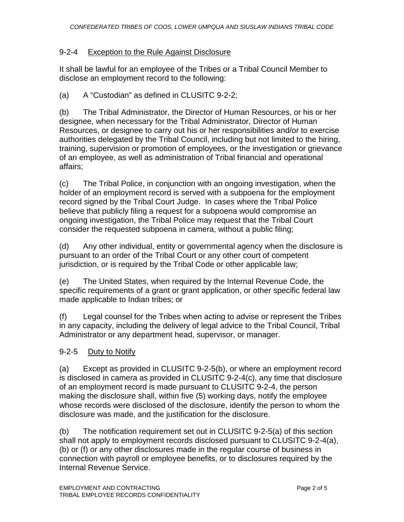# 9-2-4 Exception to the Rule Against Disclosure

It shall be lawful for an employee of the Tribes or a Tribal Council Member to disclose an employment record to the following:

# (a) A "Custodian" as defined in CLUSITC 9-2-2;

(b) The Tribal Administrator, the Director of Human Resources, or his or her designee, when necessary for the Tribal Administrator, Director of Human Resources, or designee to carry out his or her responsibilities and/or to exercise authorities delegated by the Tribal Council, including but not limited to the hiring, training, supervision or promotion of employees, or the investigation or grievance of an employee, as well as administration of Tribal financial and operational affairs;

(c) The Tribal Police, in conjunction with an ongoing investigation, when the holder of an employment record is served with a subpoena for the employment record signed by the Tribal Court Judge. In cases where the Tribal Police believe that publicly filing a request for a subpoena would compromise an ongoing investigation, the Tribal Police may request that the Tribal Court consider the requested subpoena in camera, without a public filing;

(d) Any other individual, entity or governmental agency when the disclosure is pursuant to an order of the Tribal Court or any other court of competent jurisdiction, or is required by the Tribal Code or other applicable law;

(e) The United States, when required by the Internal Revenue Code, the specific requirements of a grant or grant application, or other specific federal law made applicable to Indian tribes; or

(f) Legal counsel for the Tribes when acting to advise or represent the Tribes in any capacity, including the delivery of legal advice to the Tribal Council, Tribal Administrator or any department head, supervisor, or manager.

# 9-2-5 Duty to Notify

(a) Except as provided in CLUSITC 9-2-5(b), or where an employment record is disclosed in camera as provided in CLUSITC 9-2-4(c), any time that disclosure of an employment record is made pursuant to CLUSITC 9-2-4, the person making the disclosure shall, within five (5) working days, notify the employee whose records were disclosed of the disclosure, identify the person to whom the disclosure was made, and the justification for the disclosure.

(b) The notification requirement set out in CLUSITC 9-2-5(a) of this section shall not apply to employment records disclosed pursuant to CLUSITC 9-2-4(a), (b) or (f) or any other disclosures made in the regular course of business in connection with payroll or employee benefits, or to disclosures required by the Internal Revenue Service.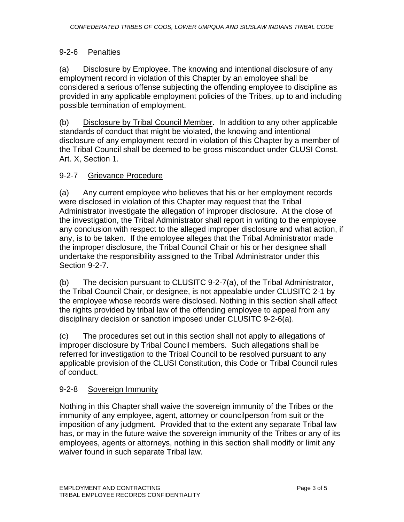## 9-2-6 Penalties

(a) Disclosure by Employee. The knowing and intentional disclosure of any employment record in violation of this Chapter by an employee shall be considered a serious offense subjecting the offending employee to discipline as provided in any applicable employment policies of the Tribes, up to and including possible termination of employment.

(b) Disclosure by Tribal Council Member. In addition to any other applicable standards of conduct that might be violated, the knowing and intentional disclosure of any employment record in violation of this Chapter by a member of the Tribal Council shall be deemed to be gross misconduct under CLUSI Const. Art. X, Section 1.

## 9-2-7 Grievance Procedure

(a) Any current employee who believes that his or her employment records were disclosed in violation of this Chapter may request that the Tribal Administrator investigate the allegation of improper disclosure. At the close of the investigation, the Tribal Administrator shall report in writing to the employee any conclusion with respect to the alleged improper disclosure and what action, if any, is to be taken. If the employee alleges that the Tribal Administrator made the improper disclosure, the Tribal Council Chair or his or her designee shall undertake the responsibility assigned to the Tribal Administrator under this Section 9-2-7.

(b) The decision pursuant to CLUSITC 9-2-7(a), of the Tribal Administrator, the Tribal Council Chair, or designee, is not appealable under CLUSITC 2-1 by the employee whose records were disclosed. Nothing in this section shall affect the rights provided by tribal law of the offending employee to appeal from any disciplinary decision or sanction imposed under CLUSITC 9-2-6(a).

(c) The procedures set out in this section shall not apply to allegations of improper disclosure by Tribal Council members. Such allegations shall be referred for investigation to the Tribal Council to be resolved pursuant to any applicable provision of the CLUSI Constitution, this Code or Tribal Council rules of conduct.

## 9-2-8 Sovereign Immunity

Nothing in this Chapter shall waive the sovereign immunity of the Tribes or the immunity of any employee, agent, attorney or councilperson from suit or the imposition of any judgment. Provided that to the extent any separate Tribal law has, or may in the future waive the sovereign immunity of the Tribes or any of its employees, agents or attorneys, nothing in this section shall modify or limit any waiver found in such separate Tribal law.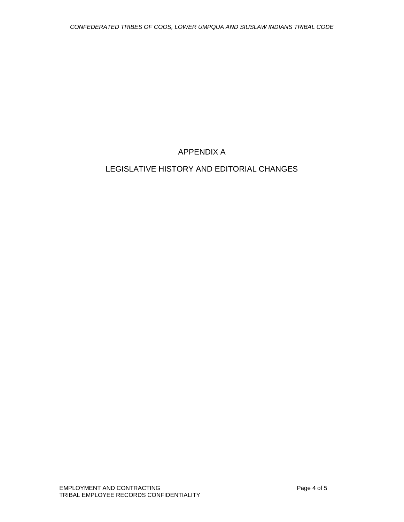# APPENDIX A

# LEGISLATIVE HISTORY AND EDITORIAL CHANGES